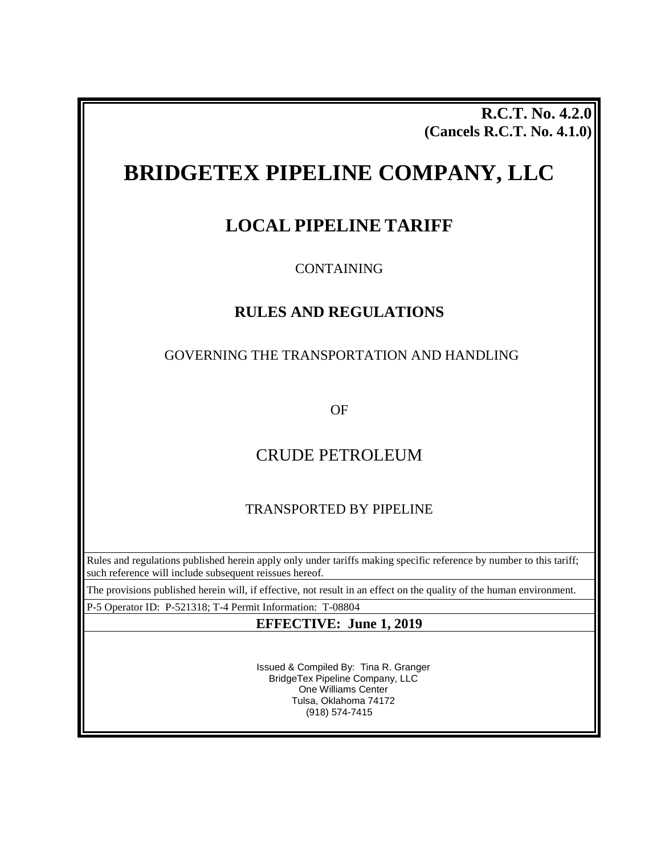**R.C.T. No. 4.2.0 (Cancels R.C.T. No. 4.1.0)**

# **BRIDGETEX PIPELINE COMPANY, LLC**

# **LOCAL PIPELINE TARIFF**

CONTAINING

# **RULES AND REGULATIONS**

## GOVERNING THE TRANSPORTATION AND HANDLING

OF

# CRUDE PETROLEUM

# TRANSPORTED BY PIPELINE

Rules and regulations published herein apply only under tariffs making specific reference by number to this tariff; such reference will include subsequent reissues hereof.

The provisions published herein will, if effective, not result in an effect on the quality of the human environment.

P-5 Operator ID: P-521318; T-4 Permit Information: T-08804

## **EFFECTIVE: June 1, 2019**

Issued & Compiled By: Tina R. Granger BridgeTex Pipeline Company, LLC One Williams Center Tulsa, Oklahoma 74172 (918) 574-7415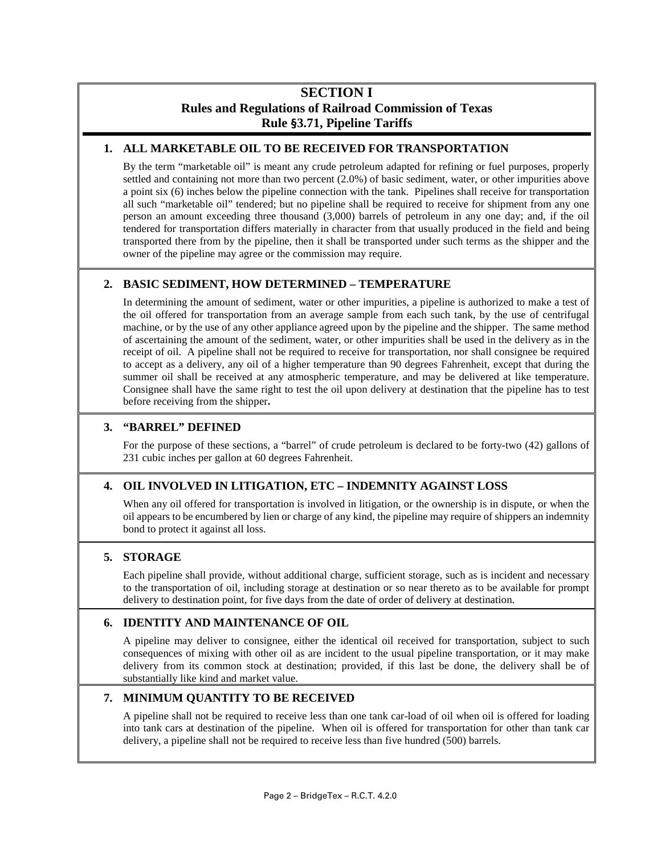## **SECTION I Rules and Regulations of Railroad Commission of Texas Rule §3.71, Pipeline Tariffs**

## **1. ALL MARKETABLE OIL TO BE RECEIVED FOR TRANSPORTATION**

By the term "marketable oil" is meant any crude petroleum adapted for refining or fuel purposes, properly settled and containing not more than two percent (2.0%) of basic sediment, water, or other impurities above a point six (6) inches below the pipeline connection with the tank. Pipelines shall receive for transportation all such "marketable oil" tendered; but no pipeline shall be required to receive for shipment from any one person an amount exceeding three thousand (3,000) barrels of petroleum in any one day; and, if the oil tendered for transportation differs materially in character from that usually produced in the field and being transported there from by the pipeline, then it shall be transported under such terms as the shipper and the owner of the pipeline may agree or the commission may require.

## **2. BASIC SEDIMENT, HOW DETERMINED – TEMPERATURE**

In determining the amount of sediment, water or other impurities, a pipeline is authorized to make a test of the oil offered for transportation from an average sample from each such tank, by the use of centrifugal machine, or by the use of any other appliance agreed upon by the pipeline and the shipper. The same method of ascertaining the amount of the sediment, water, or other impurities shall be used in the delivery as in the receipt of oil. A pipeline shall not be required to receive for transportation, nor shall consignee be required to accept as a delivery, any oil of a higher temperature than 90 degrees Fahrenheit, except that during the summer oil shall be received at any atmospheric temperature, and may be delivered at like temperature. Consignee shall have the same right to test the oil upon delivery at destination that the pipeline has to test before receiving from the shipper**.**

## **3. "BARREL" DEFINED**

For the purpose of these sections, a "barrel" of crude petroleum is declared to be forty-two (42) gallons of 231 cubic inches per gallon at 60 degrees Fahrenheit.

## **4. OIL INVOLVED IN LITIGATION, ETC – INDEMNITY AGAINST LOSS**

When any oil offered for transportation is involved in litigation, or the ownership is in dispute, or when the oil appears to be encumbered by lien or charge of any kind, the pipeline may require of shippers an indemnity bond to protect it against all loss.

#### **5. STORAGE**

Each pipeline shall provide, without additional charge, sufficient storage, such as is incident and necessary to the transportation of oil, including storage at destination or so near thereto as to be available for prompt delivery to destination point, for five days from the date of order of delivery at destination.

## **6. IDENTITY AND MAINTENANCE OF OIL**

A pipeline may deliver to consignee, either the identical oil received for transportation, subject to such consequences of mixing with other oil as are incident to the usual pipeline transportation, or it may make delivery from its common stock at destination; provided, if this last be done, the delivery shall be of substantially like kind and market value.

## **7. MINIMUM QUANTITY TO BE RECEIVED**

A pipeline shall not be required to receive less than one tank car-load of oil when oil is offered for loading into tank cars at destination of the pipeline. When oil is offered for transportation for other than tank car delivery, a pipeline shall not be required to receive less than five hundred (500) barrels.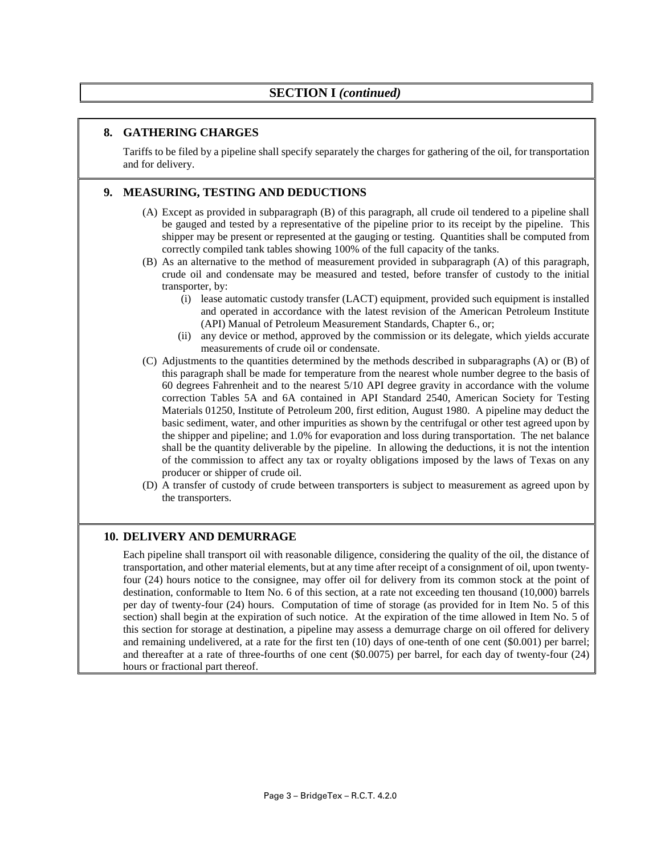## **SECTION I** *(continued)*

## **8. GATHERING CHARGES**

Tariffs to be filed by a pipeline shall specify separately the charges for gathering of the oil, for transportation and for delivery.

## **9. MEASURING, TESTING AND DEDUCTIONS**

- (A) Except as provided in subparagraph (B) of this paragraph, all crude oil tendered to a pipeline shall be gauged and tested by a representative of the pipeline prior to its receipt by the pipeline. This shipper may be present or represented at the gauging or testing. Quantities shall be computed from correctly compiled tank tables showing 100% of the full capacity of the tanks.
- (B) As an alternative to the method of measurement provided in subparagraph (A) of this paragraph, crude oil and condensate may be measured and tested, before transfer of custody to the initial transporter, by:
	- (i) lease automatic custody transfer (LACT) equipment, provided such equipment is installed and operated in accordance with the latest revision of the American Petroleum Institute (API) Manual of Petroleum Measurement Standards, Chapter 6., or;
	- (ii) any device or method, approved by the commission or its delegate, which yields accurate measurements of crude oil or condensate.
- (C) Adjustments to the quantities determined by the methods described in subparagraphs (A) or (B) of this paragraph shall be made for temperature from the nearest whole number degree to the basis of 60 degrees Fahrenheit and to the nearest 5/10 API degree gravity in accordance with the volume correction Tables 5A and 6A contained in API Standard 2540, American Society for Testing Materials 01250, Institute of Petroleum 200, first edition, August 1980. A pipeline may deduct the basic sediment, water, and other impurities as shown by the centrifugal or other test agreed upon by the shipper and pipeline; and 1.0% for evaporation and loss during transportation. The net balance shall be the quantity deliverable by the pipeline. In allowing the deductions, it is not the intention of the commission to affect any tax or royalty obligations imposed by the laws of Texas on any producer or shipper of crude oil.
- (D) A transfer of custody of crude between transporters is subject to measurement as agreed upon by the transporters.

#### **10. DELIVERY AND DEMURRAGE**

Each pipeline shall transport oil with reasonable diligence, considering the quality of the oil, the distance of transportation, and other material elements, but at any time after receipt of a consignment of oil, upon twentyfour (24) hours notice to the consignee, may offer oil for delivery from its common stock at the point of destination, conformable to Item No. 6 of this section, at a rate not exceeding ten thousand (10,000) barrels per day of twenty-four (24) hours. Computation of time of storage (as provided for in Item No. 5 of this section) shall begin at the expiration of such notice. At the expiration of the time allowed in Item No. 5 of this section for storage at destination, a pipeline may assess a demurrage charge on oil offered for delivery and remaining undelivered, at a rate for the first ten (10) days of one-tenth of one cent (\$0.001) per barrel; and thereafter at a rate of three-fourths of one cent (\$0.0075) per barrel, for each day of twenty-four (24) hours or fractional part thereof.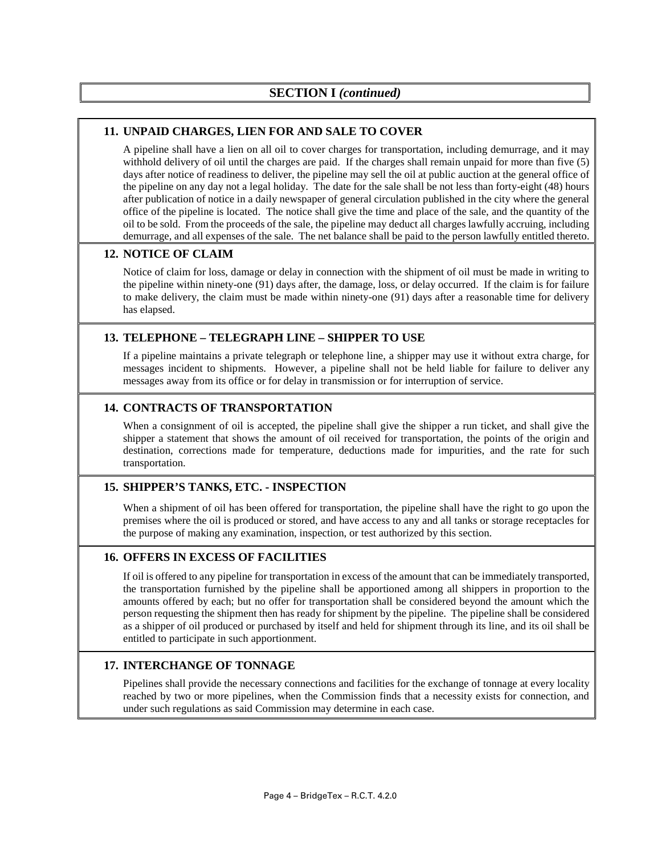## **11. UNPAID CHARGES, LIEN FOR AND SALE TO COVER**

A pipeline shall have a lien on all oil to cover charges for transportation, including demurrage, and it may withhold delivery of oil until the charges are paid. If the charges shall remain unpaid for more than five (5) days after notice of readiness to deliver, the pipeline may sell the oil at public auction at the general office of the pipeline on any day not a legal holiday. The date for the sale shall be not less than forty-eight (48) hours after publication of notice in a daily newspaper of general circulation published in the city where the general office of the pipeline is located. The notice shall give the time and place of the sale, and the quantity of the oil to be sold. From the proceeds of the sale, the pipeline may deduct all charges lawfully accruing, including demurrage, and all expenses of the sale. The net balance shall be paid to the person lawfully entitled thereto.

## **12. NOTICE OF CLAIM**

Notice of claim for loss, damage or delay in connection with the shipment of oil must be made in writing to the pipeline within ninety-one (91) days after, the damage, loss, or delay occurred. If the claim is for failure to make delivery, the claim must be made within ninety-one (91) days after a reasonable time for delivery has elapsed.

## **13. TELEPHONE – TELEGRAPH LINE – SHIPPER TO USE**

If a pipeline maintains a private telegraph or telephone line, a shipper may use it without extra charge, for messages incident to shipments. However, a pipeline shall not be held liable for failure to deliver any messages away from its office or for delay in transmission or for interruption of service.

## **14. CONTRACTS OF TRANSPORTATION**

When a consignment of oil is accepted, the pipeline shall give the shipper a run ticket, and shall give the shipper a statement that shows the amount of oil received for transportation, the points of the origin and destination, corrections made for temperature, deductions made for impurities, and the rate for such transportation.

## **15. SHIPPER'S TANKS, ETC. - INSPECTION**

When a shipment of oil has been offered for transportation, the pipeline shall have the right to go upon the premises where the oil is produced or stored, and have access to any and all tanks or storage receptacles for the purpose of making any examination, inspection, or test authorized by this section.

#### **16. OFFERS IN EXCESS OF FACILITIES**

If oil is offered to any pipeline for transportation in excess of the amount that can be immediately transported, the transportation furnished by the pipeline shall be apportioned among all shippers in proportion to the amounts offered by each; but no offer for transportation shall be considered beyond the amount which the person requesting the shipment then has ready for shipment by the pipeline. The pipeline shall be considered as a shipper of oil produced or purchased by itself and held for shipment through its line, and its oil shall be entitled to participate in such apportionment.

## **17. INTERCHANGE OF TONNAGE**

Pipelines shall provide the necessary connections and facilities for the exchange of tonnage at every locality reached by two or more pipelines, when the Commission finds that a necessity exists for connection, and under such regulations as said Commission may determine in each case.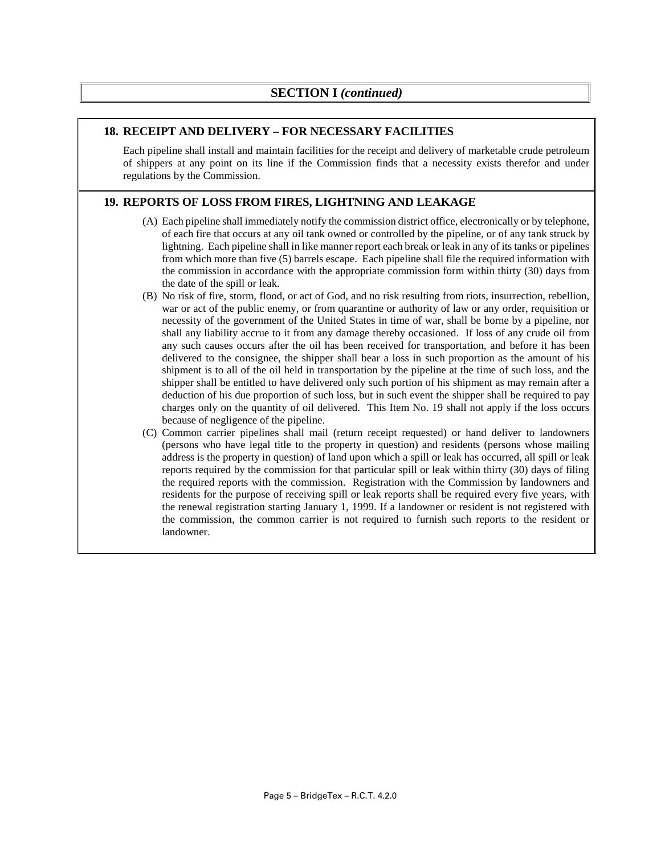#### **18. RECEIPT AND DELIVERY – FOR NECESSARY FACILITIES**

Each pipeline shall install and maintain facilities for the receipt and delivery of marketable crude petroleum of shippers at any point on its line if the Commission finds that a necessity exists therefor and under regulations by the Commission.

## **19. REPORTS OF LOSS FROM FIRES, LIGHTNING AND LEAKAGE**

- (A) Each pipeline shall immediately notify the commission district office, electronically or by telephone, of each fire that occurs at any oil tank owned or controlled by the pipeline, or of any tank struck by lightning. Each pipeline shall in like manner report each break or leak in any of its tanks or pipelines from which more than five (5) barrels escape. Each pipeline shall file the required information with the commission in accordance with the appropriate commission form within thirty (30) days from the date of the spill or leak.
- (B) No risk of fire, storm, flood, or act of God, and no risk resulting from riots, insurrection, rebellion, war or act of the public enemy, or from quarantine or authority of law or any order, requisition or necessity of the government of the United States in time of war, shall be borne by a pipeline, nor shall any liability accrue to it from any damage thereby occasioned. If loss of any crude oil from any such causes occurs after the oil has been received for transportation, and before it has been delivered to the consignee, the shipper shall bear a loss in such proportion as the amount of his shipment is to all of the oil held in transportation by the pipeline at the time of such loss, and the shipper shall be entitled to have delivered only such portion of his shipment as may remain after a deduction of his due proportion of such loss, but in such event the shipper shall be required to pay charges only on the quantity of oil delivered. This Item No. 19 shall not apply if the loss occurs because of negligence of the pipeline.
- (C) Common carrier pipelines shall mail (return receipt requested) or hand deliver to landowners (persons who have legal title to the property in question) and residents (persons whose mailing address is the property in question) of land upon which a spill or leak has occurred, all spill or leak reports required by the commission for that particular spill or leak within thirty (30) days of filing the required reports with the commission. Registration with the Commission by landowners and residents for the purpose of receiving spill or leak reports shall be required every five years, with the renewal registration starting January 1, 1999. If a landowner or resident is not registered with the commission, the common carrier is not required to furnish such reports to the resident or landowner.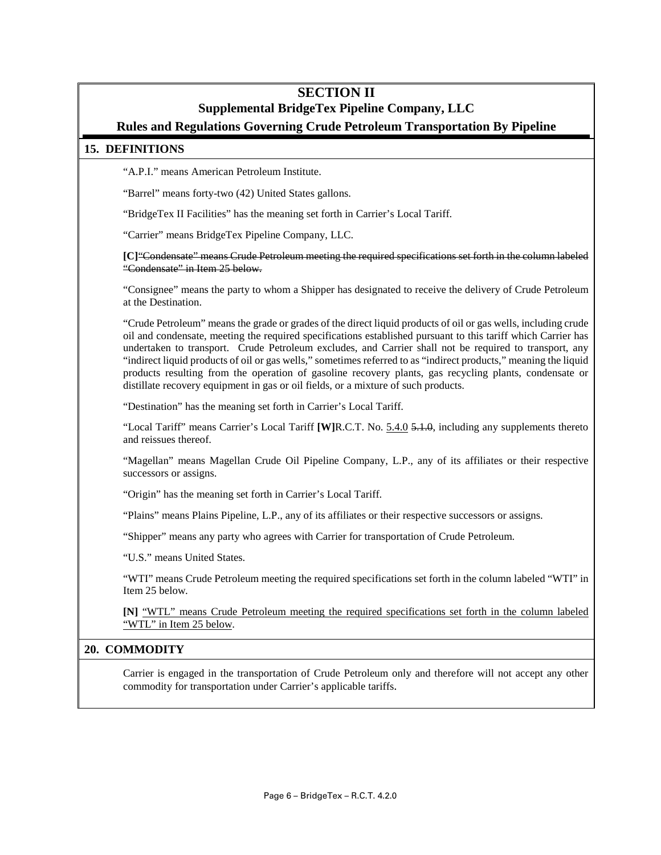## **SECTION II Supplemental BridgeTex Pipeline Company, LLC Rules and Regulations Governing Crude Petroleum Transportation By Pipeline**

#### **15. DEFINITIONS**

"A.P.I." means American Petroleum Institute.

"Barrel" means forty-two (42) United States gallons.

"BridgeTex II Facilities" has the meaning set forth in Carrier's Local Tariff.

"Carrier" means BridgeTex Pipeline Company, LLC.

**[C]**"Condensate" means Crude Petroleum meeting the required specifications set forth in the column labeled "Condensate" in Item 25 below.

"Consignee" means the party to whom a Shipper has designated to receive the delivery of Crude Petroleum at the Destination.

"Crude Petroleum" means the grade or grades of the direct liquid products of oil or gas wells, including crude oil and condensate, meeting the required specifications established pursuant to this tariff which Carrier has undertaken to transport. Crude Petroleum excludes, and Carrier shall not be required to transport, any "indirect liquid products of oil or gas wells," sometimes referred to as "indirect products," meaning the liquid products resulting from the operation of gasoline recovery plants, gas recycling plants, condensate or distillate recovery equipment in gas or oil fields, or a mixture of such products.

"Destination" has the meaning set forth in Carrier's Local Tariff.

"Local Tariff" means Carrier's Local Tariff **[W]**R.C.T. No. 5.4.0 5.1.0, including any supplements thereto and reissues thereof.

"Magellan" means Magellan Crude Oil Pipeline Company, L.P., any of its affiliates or their respective successors or assigns.

"Origin" has the meaning set forth in Carrier's Local Tariff.

"Plains" means Plains Pipeline, L.P., any of its affiliates or their respective successors or assigns.

"Shipper" means any party who agrees with Carrier for transportation of Crude Petroleum.

"U.S." means United States.

"WTI" means Crude Petroleum meeting the required specifications set forth in the column labeled "WTI" in Item 25 below.

**[N]** "WTL" means Crude Petroleum meeting the required specifications set forth in the column labeled "WTL" in Item 25 below.

#### **20. COMMODITY**

Carrier is engaged in the transportation of Crude Petroleum only and therefore will not accept any other commodity for transportation under Carrier's applicable tariffs.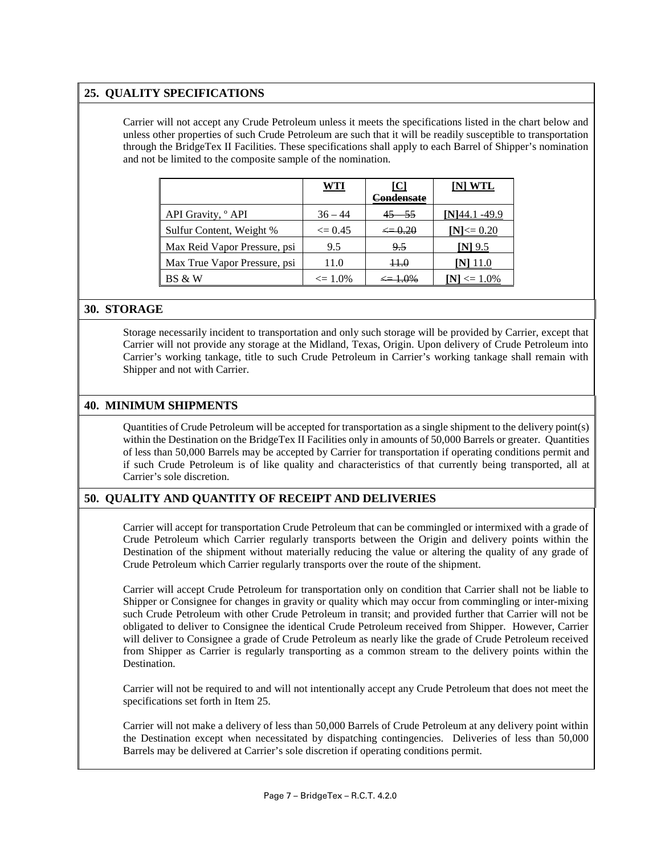## **25. QUALITY SPECIFICATIONS**

Carrier will not accept any Crude Petroleum unless it meets the specifications listed in the chart below and unless other properties of such Crude Petroleum are such that it will be readily susceptible to transportation through the BridgeTex II Facilities. These specifications shall apply to each Barrel of Shipper's nomination and not be limited to the composite sample of the nomination.

|                               | <u>WTI</u>   | $\mathsf{IC}$<br>Condensate | INI WTL        |
|-------------------------------|--------------|-----------------------------|----------------|
| API Gravity, <sup>o</sup> API | $36 - 44$    | $45 - 55$                   | NI44.1-49.9    |
| Sulfur Content, Weight %      | $\leq$ 0.45  | $\Leftarrow 0.20$           | $[N] \le 0.20$ |
| Max Reid Vapor Pressure, psi  | 9.5          | 9.5                         | INI 9.5        |
| Max True Vapor Pressure, psi  | 11.0         | 44.0                        |                |
| BS & W                        | $\leq 1.0\%$ |                             | $\leq 1.0\%$   |

#### **30. STORAGE**

Storage necessarily incident to transportation and only such storage will be provided by Carrier, except that Carrier will not provide any storage at the Midland, Texas, Origin. Upon delivery of Crude Petroleum into Carrier's working tankage, title to such Crude Petroleum in Carrier's working tankage shall remain with Shipper and not with Carrier.

#### **40. MINIMUM SHIPMENTS**

Quantities of Crude Petroleum will be accepted for transportation as a single shipment to the delivery point(s) within the Destination on the BridgeTex II Facilities only in amounts of 50,000 Barrels or greater. Quantities of less than 50,000 Barrels may be accepted by Carrier for transportation if operating conditions permit and if such Crude Petroleum is of like quality and characteristics of that currently being transported, all at Carrier's sole discretion.

## **50. QUALITY AND QUANTITY OF RECEIPT AND DELIVERIES**

Carrier will accept for transportation Crude Petroleum that can be commingled or intermixed with a grade of Crude Petroleum which Carrier regularly transports between the Origin and delivery points within the Destination of the shipment without materially reducing the value or altering the quality of any grade of Crude Petroleum which Carrier regularly transports over the route of the shipment.

Carrier will accept Crude Petroleum for transportation only on condition that Carrier shall not be liable to Shipper or Consignee for changes in gravity or quality which may occur from commingling or inter-mixing such Crude Petroleum with other Crude Petroleum in transit; and provided further that Carrier will not be obligated to deliver to Consignee the identical Crude Petroleum received from Shipper. However, Carrier will deliver to Consignee a grade of Crude Petroleum as nearly like the grade of Crude Petroleum received from Shipper as Carrier is regularly transporting as a common stream to the delivery points within the Destination.

Carrier will not be required to and will not intentionally accept any Crude Petroleum that does not meet the specifications set forth in Item 25.

Carrier will not make a delivery of less than 50,000 Barrels of Crude Petroleum at any delivery point within the Destination except when necessitated by dispatching contingencies. Deliveries of less than 50,000 Barrels may be delivered at Carrier's sole discretion if operating conditions permit.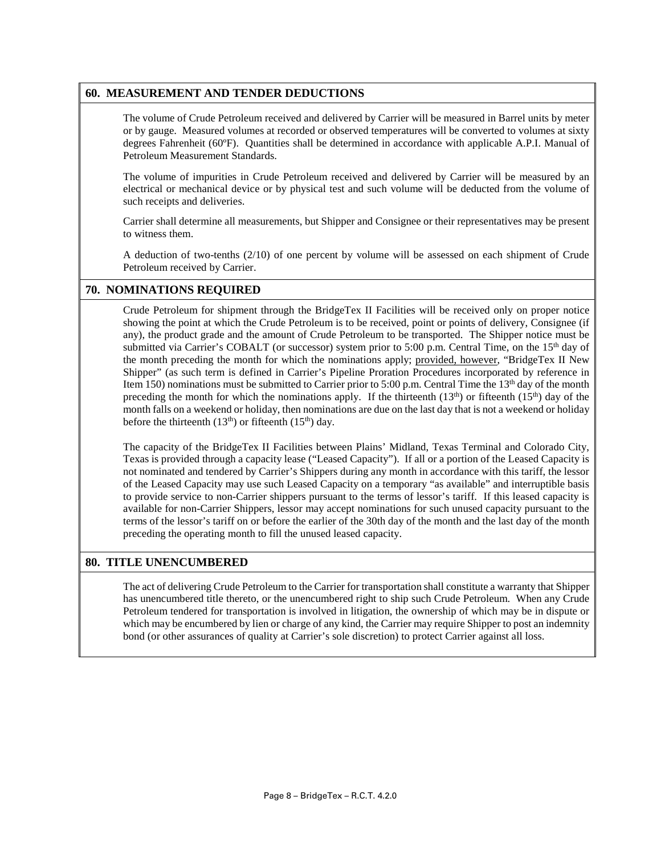#### **60. MEASUREMENT AND TENDER DEDUCTIONS**

The volume of Crude Petroleum received and delivered by Carrier will be measured in Barrel units by meter or by gauge. Measured volumes at recorded or observed temperatures will be converted to volumes at sixty degrees Fahrenheit (60ºF). Quantities shall be determined in accordance with applicable A.P.I. Manual of Petroleum Measurement Standards.

The volume of impurities in Crude Petroleum received and delivered by Carrier will be measured by an electrical or mechanical device or by physical test and such volume will be deducted from the volume of such receipts and deliveries.

Carrier shall determine all measurements, but Shipper and Consignee or their representatives may be present to witness them.

A deduction of two-tenths (2/10) of one percent by volume will be assessed on each shipment of Crude Petroleum received by Carrier.

#### **70. NOMINATIONS REQUIRED**

Crude Petroleum for shipment through the BridgeTex II Facilities will be received only on proper notice showing the point at which the Crude Petroleum is to be received, point or points of delivery, Consignee (if any), the product grade and the amount of Crude Petroleum to be transported. The Shipper notice must be submitted via Carrier's COBALT (or successor) system prior to 5:00 p.m. Central Time, on the  $15<sup>th</sup>$  day of the month preceding the month for which the nominations apply; provided, however, "BridgeTex II New Shipper" (as such term is defined in Carrier's Pipeline Proration Procedures incorporated by reference in Item 150) nominations must be submitted to Carrier prior to 5:00 p.m. Central Time the  $13<sup>th</sup>$  day of the month preceding the month for which the nominations apply. If the thirteenth  $(13<sup>th</sup>)$  or fifteenth  $(15<sup>th</sup>)$  day of the month falls on a weekend or holiday, then nominations are due on the last day that is not a weekend or holiday before the thirteenth  $(13<sup>th</sup>)$  or fifteenth  $(15<sup>th</sup>)$  day.

The capacity of the BridgeTex II Facilities between Plains' Midland, Texas Terminal and Colorado City, Texas is provided through a capacity lease ("Leased Capacity"). If all or a portion of the Leased Capacity is not nominated and tendered by Carrier's Shippers during any month in accordance with this tariff, the lessor of the Leased Capacity may use such Leased Capacity on a temporary "as available" and interruptible basis to provide service to non-Carrier shippers pursuant to the terms of lessor's tariff. If this leased capacity is available for non-Carrier Shippers, lessor may accept nominations for such unused capacity pursuant to the terms of the lessor's tariff on or before the earlier of the 30th day of the month and the last day of the month preceding the operating month to fill the unused leased capacity.

#### **80. TITLE UNENCUMBERED**

The act of delivering Crude Petroleum to the Carrier for transportation shall constitute a warranty that Shipper has unencumbered title thereto, or the unencumbered right to ship such Crude Petroleum. When any Crude Petroleum tendered for transportation is involved in litigation, the ownership of which may be in dispute or which may be encumbered by lien or charge of any kind, the Carrier may require Shipper to post an indemnity bond (or other assurances of quality at Carrier's sole discretion) to protect Carrier against all loss.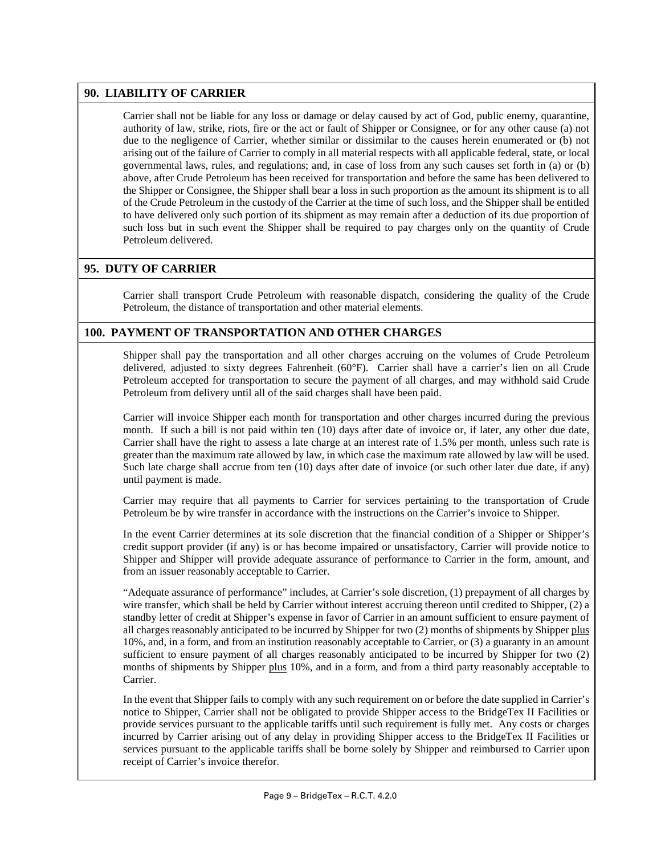## **90. LIABILITY OF CARRIER**

Carrier shall not be liable for any loss or damage or delay caused by act of God, public enemy, quarantine, authority of law, strike, riots, fire or the act or fault of Shipper or Consignee, or for any other cause (a) not due to the negligence of Carrier, whether similar or dissimilar to the causes herein enumerated or (b) not arising out of the failure of Carrier to comply in all material respects with all applicable federal, state, or local governmental laws, rules, and regulations; and, in case of loss from any such causes set forth in (a) or (b) above, after Crude Petroleum has been received for transportation and before the same has been delivered to the Shipper or Consignee, the Shipper shall bear a loss in such proportion as the amount its shipment is to all of the Crude Petroleum in the custody of the Carrier at the time of such loss, and the Shipper shall be entitled to have delivered only such portion of its shipment as may remain after a deduction of its due proportion of such loss but in such event the Shipper shall be required to pay charges only on the quantity of Crude Petroleum delivered.

## **95. DUTY OF CARRIER**

Carrier shall transport Crude Petroleum with reasonable dispatch, considering the quality of the Crude Petroleum, the distance of transportation and other material elements.

## **100. PAYMENT OF TRANSPORTATION AND OTHER CHARGES**

Shipper shall pay the transportation and all other charges accruing on the volumes of Crude Petroleum delivered, adjusted to sixty degrees Fahrenheit (60°F). Carrier shall have a carrier's lien on all Crude Petroleum accepted for transportation to secure the payment of all charges, and may withhold said Crude Petroleum from delivery until all of the said charges shall have been paid.

Carrier will invoice Shipper each month for transportation and other charges incurred during the previous month. If such a bill is not paid within ten (10) days after date of invoice or, if later, any other due date, Carrier shall have the right to assess a late charge at an interest rate of 1.5% per month, unless such rate is greater than the maximum rate allowed by law, in which case the maximum rate allowed by law will be used. Such late charge shall accrue from ten (10) days after date of invoice (or such other later due date, if any) until payment is made.

Carrier may require that all payments to Carrier for services pertaining to the transportation of Crude Petroleum be by wire transfer in accordance with the instructions on the Carrier's invoice to Shipper.

In the event Carrier determines at its sole discretion that the financial condition of a Shipper or Shipper's credit support provider (if any) is or has become impaired or unsatisfactory, Carrier will provide notice to Shipper and Shipper will provide adequate assurance of performance to Carrier in the form, amount, and from an issuer reasonably acceptable to Carrier.

"Adequate assurance of performance" includes, at Carrier's sole discretion, (1) prepayment of all charges by wire transfer, which shall be held by Carrier without interest accruing thereon until credited to Shipper, (2) a standby letter of credit at Shipper's expense in favor of Carrier in an amount sufficient to ensure payment of all charges reasonably anticipated to be incurred by Shipper for two (2) months of shipments by Shipper plus 10%, and, in a form, and from an institution reasonably acceptable to Carrier, or (3) a guaranty in an amount sufficient to ensure payment of all charges reasonably anticipated to be incurred by Shipper for two (2) months of shipments by Shipper plus 10%, and in a form, and from a third party reasonably acceptable to Carrier.

In the event that Shipper fails to comply with any such requirement on or before the date supplied in Carrier's notice to Shipper, Carrier shall not be obligated to provide Shipper access to the BridgeTex II Facilities or provide services pursuant to the applicable tariffs until such requirement is fully met. Any costs or charges incurred by Carrier arising out of any delay in providing Shipper access to the BridgeTex II Facilities or services pursuant to the applicable tariffs shall be borne solely by Shipper and reimbursed to Carrier upon receipt of Carrier's invoice therefor.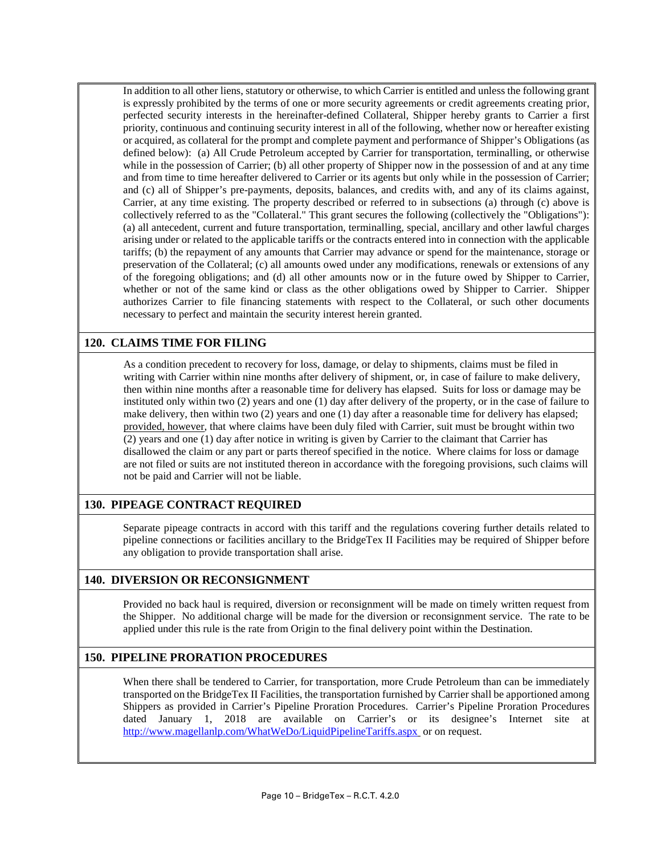In addition to all other liens, statutory or otherwise, to which Carrier is entitled and unless the following grant is expressly prohibited by the terms of one or more security agreements or credit agreements creating prior, perfected security interests in the hereinafter-defined Collateral, Shipper hereby grants to Carrier a first priority, continuous and continuing security interest in all of the following, whether now or hereafter existing or acquired, as collateral for the prompt and complete payment and performance of Shipper's Obligations (as defined below): (a) All Crude Petroleum accepted by Carrier for transportation, terminalling, or otherwise while in the possession of Carrier; (b) all other property of Shipper now in the possession of and at any time and from time to time hereafter delivered to Carrier or its agents but only while in the possession of Carrier; and (c) all of Shipper's pre-payments, deposits, balances, and credits with, and any of its claims against, Carrier, at any time existing. The property described or referred to in subsections (a) through (c) above is collectively referred to as the "Collateral." This grant secures the following (collectively the "Obligations"): (a) all antecedent, current and future transportation, terminalling, special, ancillary and other lawful charges arising under or related to the applicable tariffs or the contracts entered into in connection with the applicable tariffs; (b) the repayment of any amounts that Carrier may advance or spend for the maintenance, storage or preservation of the Collateral; (c) all amounts owed under any modifications, renewals or extensions of any of the foregoing obligations; and (d) all other amounts now or in the future owed by Shipper to Carrier, whether or not of the same kind or class as the other obligations owed by Shipper to Carrier. Shipper authorizes Carrier to file financing statements with respect to the Collateral, or such other documents necessary to perfect and maintain the security interest herein granted.

## **120. CLAIMS TIME FOR FILING**

As a condition precedent to recovery for loss, damage, or delay to shipments, claims must be filed in writing with Carrier within nine months after delivery of shipment, or, in case of failure to make delivery, then within nine months after a reasonable time for delivery has elapsed. Suits for loss or damage may be instituted only within two (2) years and one (1) day after delivery of the property, or in the case of failure to make delivery, then within two (2) years and one (1) day after a reasonable time for delivery has elapsed; provided, however, that where claims have been duly filed with Carrier, suit must be brought within two (2) years and one (1) day after notice in writing is given by Carrier to the claimant that Carrier has disallowed the claim or any part or parts thereof specified in the notice. Where claims for loss or damage are not filed or suits are not instituted thereon in accordance with the foregoing provisions, such claims will not be paid and Carrier will not be liable.

#### **130. PIPEAGE CONTRACT REQUIRED**

Separate pipeage contracts in accord with this tariff and the regulations covering further details related to pipeline connections or facilities ancillary to the BridgeTex II Facilities may be required of Shipper before any obligation to provide transportation shall arise.

#### **140. DIVERSION OR RECONSIGNMENT**

Provided no back haul is required, diversion or reconsignment will be made on timely written request from the Shipper. No additional charge will be made for the diversion or reconsignment service. The rate to be applied under this rule is the rate from Origin to the final delivery point within the Destination.

## **150. PIPELINE PRORATION PROCEDURES**

When there shall be tendered to Carrier, for transportation, more Crude Petroleum than can be immediately transported on the BridgeTex II Facilities, the transportation furnished by Carrier shall be apportioned among Shippers as provided in Carrier's Pipeline Proration Procedures. Carrier's Pipeline Proration Procedures dated January 1, 2018 are available on Carrier's or its designee's Internet site at <http://www.magellanlp.com/WhatWeDo/LiquidPipelineTariffs.aspx> or on request.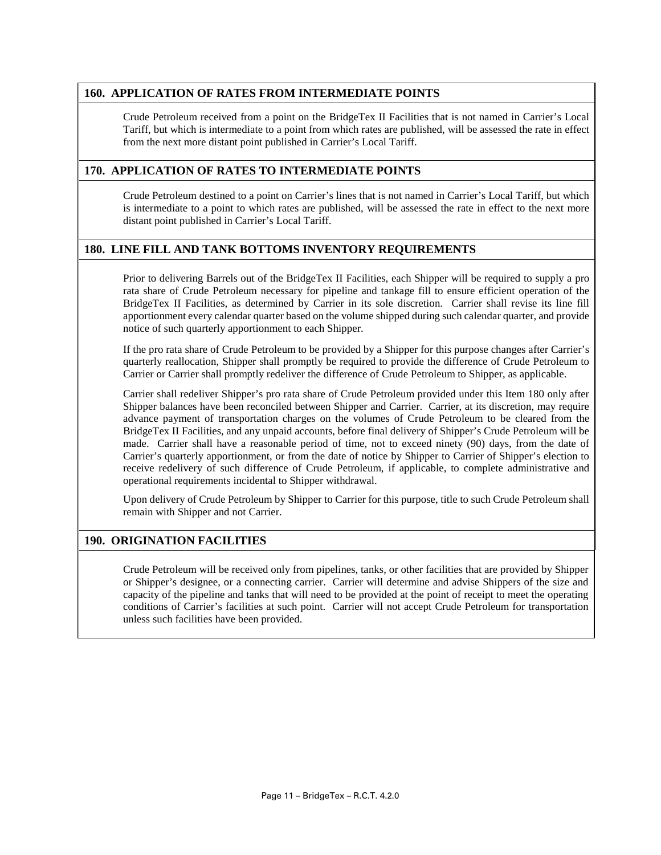## **160. APPLICATION OF RATES FROM INTERMEDIATE POINTS**

Crude Petroleum received from a point on the BridgeTex II Facilities that is not named in Carrier's Local Tariff, but which is intermediate to a point from which rates are published, will be assessed the rate in effect from the next more distant point published in Carrier's Local Tariff.

#### **170. APPLICATION OF RATES TO INTERMEDIATE POINTS**

Crude Petroleum destined to a point on Carrier's lines that is not named in Carrier's Local Tariff, but which is intermediate to a point to which rates are published, will be assessed the rate in effect to the next more distant point published in Carrier's Local Tariff.

## **180. LINE FILL AND TANK BOTTOMS INVENTORY REQUIREMENTS**

Prior to delivering Barrels out of the BridgeTex II Facilities, each Shipper will be required to supply a pro rata share of Crude Petroleum necessary for pipeline and tankage fill to ensure efficient operation of the BridgeTex II Facilities, as determined by Carrier in its sole discretion. Carrier shall revise its line fill apportionment every calendar quarter based on the volume shipped during such calendar quarter, and provide notice of such quarterly apportionment to each Shipper.

If the pro rata share of Crude Petroleum to be provided by a Shipper for this purpose changes after Carrier's quarterly reallocation, Shipper shall promptly be required to provide the difference of Crude Petroleum to Carrier or Carrier shall promptly redeliver the difference of Crude Petroleum to Shipper, as applicable.

Carrier shall redeliver Shipper's pro rata share of Crude Petroleum provided under this Item 180 only after Shipper balances have been reconciled between Shipper and Carrier. Carrier, at its discretion, may require advance payment of transportation charges on the volumes of Crude Petroleum to be cleared from the BridgeTex II Facilities, and any unpaid accounts, before final delivery of Shipper's Crude Petroleum will be made. Carrier shall have a reasonable period of time, not to exceed ninety (90) days, from the date of Carrier's quarterly apportionment, or from the date of notice by Shipper to Carrier of Shipper's election to receive redelivery of such difference of Crude Petroleum, if applicable, to complete administrative and operational requirements incidental to Shipper withdrawal.

Upon delivery of Crude Petroleum by Shipper to Carrier for this purpose, title to such Crude Petroleum shall remain with Shipper and not Carrier.

#### **190. ORIGINATION FACILITIES**

Crude Petroleum will be received only from pipelines, tanks, or other facilities that are provided by Shipper or Shipper's designee, or a connecting carrier. Carrier will determine and advise Shippers of the size and capacity of the pipeline and tanks that will need to be provided at the point of receipt to meet the operating conditions of Carrier's facilities at such point. Carrier will not accept Crude Petroleum for transportation unless such facilities have been provided.